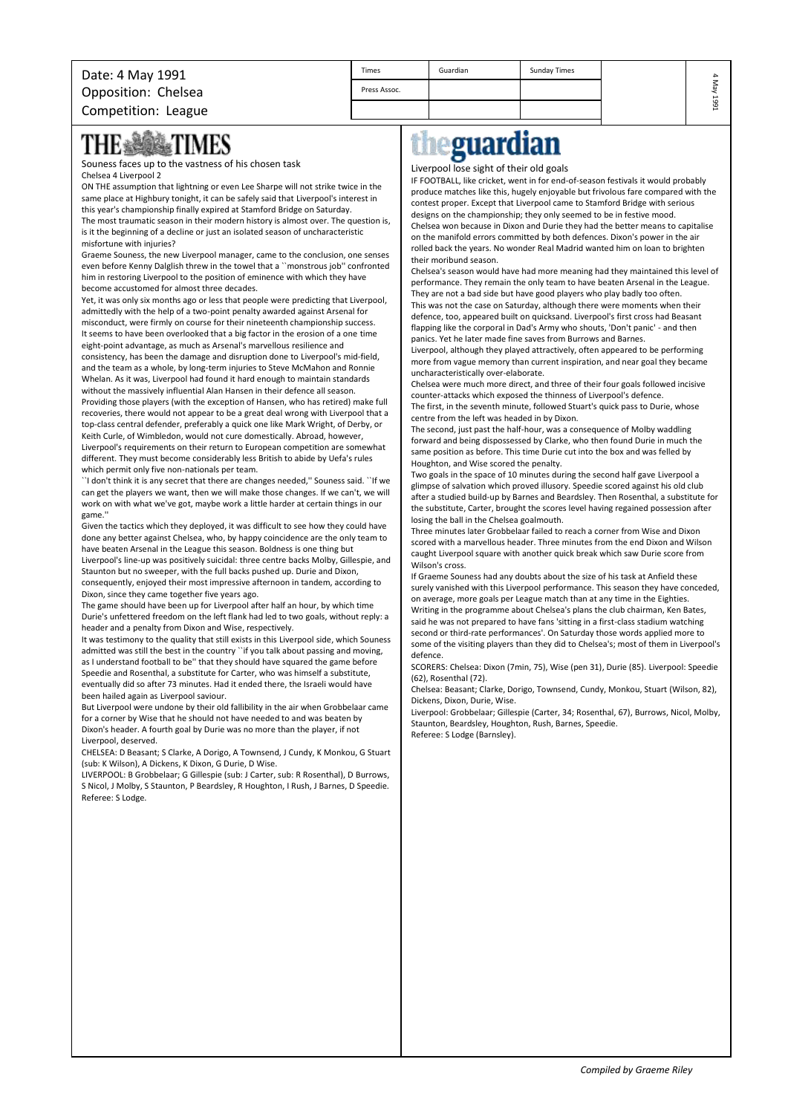| Date: 4 May 1991    | Times        | Guardian | Sunday Times |      |
|---------------------|--------------|----------|--------------|------|
| Opposition: Chelsea | Press Assoc. |          |              |      |
| Competition: League |              |          |              | 1991 |

## **THE SOMETIMES**

Souness faces up to the vastness of his chosen task Chelsea 4 Liverpool 2

ON THE assumption that lightning or even Lee Sharpe will not strike twice in the same place at Highbury tonight, it can be safely said that Liverpool's interest in this year's championship finally expired at Stamford Bridge on Saturday. The most traumatic season in their modern history is almost over. The question is, is it the beginning of a decline or just an isolated season of uncharacteristic misfortune with injuries?

Graeme Souness, the new Liverpool manager, came to the conclusion, one senses even before Kenny Dalglish threw in the towel that a ``monstrous job'' confronted him in restoring Liverpool to the position of eminence with which they have become accustomed for almost three decades.

Yet, it was only six months ago or less that people were predicting that Liverpool, admittedly with the help of a two-point penalty awarded against Arsenal for misconduct, were firmly on course for their nineteenth championship success. It seems to have been overlooked that a big factor in the erosion of a one time eight-point advantage, as much as Arsenal's marvellous resilience and

consistency, has been the damage and disruption done to Liverpool's mid-field, and the team as a whole, by long-term injuries to Steve McMahon and Ronnie Whelan. As it was, Liverpool had found it hard enough to maintain standards without the massively influential Alan Hansen in their defence all season. Providing those players (with the exception of Hansen, who has retired) make full recoveries, there would not appear to be a great deal wrong with Liverpool that a top-class central defender, preferably a quick one like Mark Wright, of Derby, or Keith Curle, of Wimbledon, would not cure domestically. Abroad, however, Liverpool's requirements on their return to European competition are somewhat different. They must become considerably less British to abide by Uefa's rules which permit only five non-nationals per team.

``I don't think it is any secret that there are changes needed,'' Souness said. ``If we can get the players we want, then we will make those changes. If we can't, we will work on with what we've got, maybe work a little harder at certain things in our game.''

Given the tactics which they deployed, it was difficult to see how they could have done any better against Chelsea, who, by happy coincidence are the only team to have beaten Arsenal in the League this season. Boldness is one thing but

Liverpool's line-up was positively suicidal: three centre backs Molby, Gillespie, and Staunton but no sweeper, with the full backs pushed up. Durie and Dixon, consequently, enjoyed their most impressive afternoon in tandem, according to Dixon, since they came together five years ago.

The game should have been up for Liverpool after half an hour, by which time Durie's unfettered freedom on the left flank had led to two goals, without reply: a header and a penalty from Dixon and Wise, respectively.

It was testimony to the quality that still exists in this Liverpool side, which Souness admitted was still the best in the country "if you talk about passing and moving, as I understand football to be'' that they should have squared the game before Speedie and Rosenthal, a substitute for Carter, who was himself a substitute, eventually did so after 73 minutes. Had it ended there, the Israeli would have been hailed again as Liverpool saviour.

But Liverpool were undone by their old fallibility in the air when Grobbelaar came for a corner by Wise that he should not have needed to and was beaten by Dixon's header. A fourth goal by Durie was no more than the player, if not Liverpool, deserved.

CHELSEA: D Beasant; S Clarke, A Dorigo, A Townsend, J Cundy, K Monkou, G Stuart (sub: K Wilson), A Dickens, K Dixon, G Durie, D Wise.

LIVERPOOL: B Grobbelaar; G Gillespie (sub: J Carter, sub: R Rosenthal), D Burrows, S Nicol, J Molby, S Staunton, P Beardsley, R Houghton, I Rush, J Barnes, D Speedie. Referee: S Lodge.

## eguardian

Liverpool lose sight of their old goals

IF FOOTBALL, like cricket, went in for end-of-season festivals it would probably produce matches like this, hugely enjoyable but frivolous fare compared with the contest proper. Except that Liverpool came to Stamford Bridge with serious designs on the championship; they only seemed to be in festive mood. Chelsea won because in Dixon and Durie they had the better means to capitalise on the manifold errors committed by both defences. Dixon's power in the air rolled back the years. No wonder Real Madrid wanted him on loan to brighten their moribund season.

Chelsea's season would have had more meaning had they maintained this level of performance. They remain the only team to have beaten Arsenal in the League. They are not a bad side but have good players who play badly too often. This was not the case on Saturday, although there were moments when their defence, too, appeared built on quicksand. Liverpool's first cross had Beasant flapping like the corporal in Dad's Army who shouts, 'Don't panic' - and then panics. Yet he later made fine saves from Burrows and Barnes.

Liverpool, although they played attractively, often appeared to be performing more from vague memory than current inspiration, and near goal they became uncharacteristically over-elaborate.

Chelsea were much more direct, and three of their four goals followed incisive counter-attacks which exposed the thinness of Liverpool's defence. The first, in the seventh minute, followed Stuart's quick pass to Durie, whose centre from the left was headed in by Dixon.

The second, just past the half-hour, was a consequence of Molby waddling forward and being dispossessed by Clarke, who then found Durie in much the same position as before. This time Durie cut into the box and was felled by Houghton, and Wise scored the penalty.

Two goals in the space of 10 minutes during the second half gave Liverpool a glimpse of salvation which proved illusory. Speedie scored against his old club after a studied build-up by Barnes and Beardsley. Then Rosenthal, a substitute for the substitute, Carter, brought the scores level having regained possession after losing the ball in the Chelsea goalmouth.

Three minutes later Grobbelaar failed to reach a corner from Wise and Dixon scored with a marvellous header. Three minutes from the end Dixon and Wilson caught Liverpool square with another quick break which saw Durie score from Wilson's cross.

If Graeme Souness had any doubts about the size of his task at Anfield these surely vanished with this Liverpool performance. This season they have conceded, on average, more goals per League match than at any time in the Eighties. Writing in the programme about Chelsea's plans the club chairman, Ken Bates, said he was not prepared to have fans 'sitting in a first-class stadium watching second or third-rate performances'. On Saturday those words applied more to some of the visiting players than they did to Chelsea's; most of them in Liverpool's defence.

SCORERS: Chelsea: Dixon (7min, 75), Wise (pen 31), Durie (85). Liverpool: Speedie (62), Rosenthal (72).

Chelsea: Beasant; Clarke, Dorigo, Townsend, Cundy, Monkou, Stuart (Wilson, 82), Dickens, Dixon, Durie, Wise.

Liverpool: Grobbelaar; Gillespie (Carter, 34; Rosenthal, 67), Burrows, Nicol, Molby, Staunton, Beardsley, Houghton, Rush, Barnes, Speedie. Referee: S Lodge (Barnsley).

*Compiled by Graeme Riley*